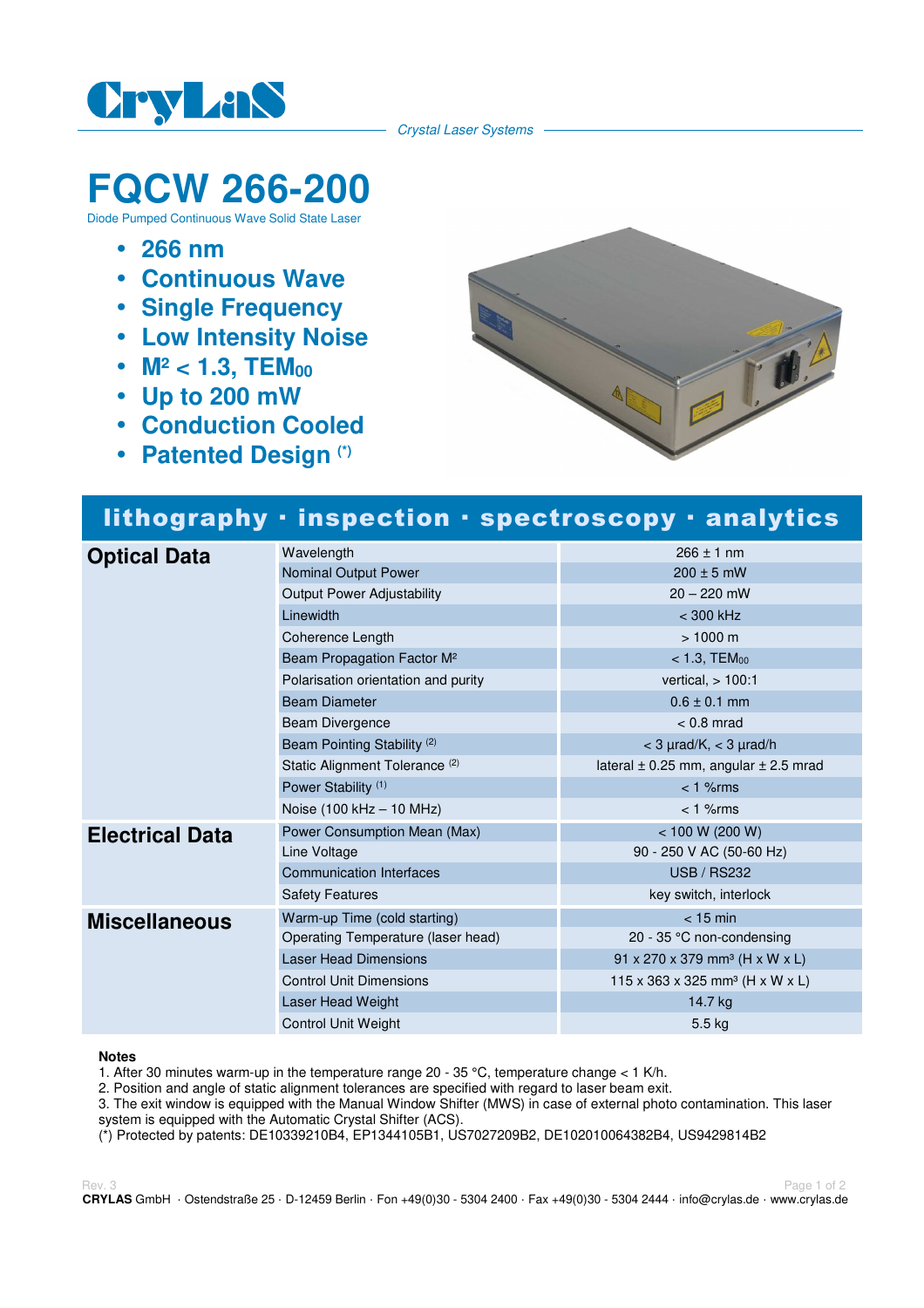

Crystal Laser Systems

# **FQCW 266-200**

Diode Pumped Continuous Wave Solid State Laser

- **266 nm**
- **Continuous Wave**
- **Single Frequency**
- **Low Intensity Noise**
- M<sup>2</sup> < 1.3, TEM<sub>00</sub>
- **Up to 200 mW**
- **Conduction Cooled**
- **Patented Design (\*)**



## lithography · inspection · spectroscopy · analytics

| <b>Optical Data</b>    | Wavelength                                | $266 \pm 1$ nm                                         |
|------------------------|-------------------------------------------|--------------------------------------------------------|
|                        | Nominal Output Power                      | $200 \pm 5$ mW                                         |
|                        | <b>Output Power Adjustability</b>         | $20 - 220$ mW                                          |
|                        | Linewidth                                 | $<$ 300 kHz                                            |
|                        | Coherence Length                          | $> 1000 \text{ m}$                                     |
|                        | Beam Propagation Factor M <sup>2</sup>    | $< 1.3,$ TEM $_{00}$                                   |
|                        | Polarisation orientation and purity       | vertical, $> 100:1$                                    |
|                        | <b>Beam Diameter</b>                      | $0.6 \pm 0.1$ mm                                       |
|                        | Beam Divergence                           | $< 0.8$ mrad                                           |
|                        | Beam Pointing Stability <sup>(2)</sup>    | $<$ 3 $\mu$ rad/K, $<$ 3 $\mu$ rad/h                   |
|                        | Static Alignment Tolerance <sup>(2)</sup> | lateral $\pm$ 0.25 mm, angular $\pm$ 2.5 mrad          |
|                        | Power Stability <sup>(1)</sup>            | $< 1$ % $rms$                                          |
|                        | Noise (100 kHz - 10 MHz)                  | $< 1$ % $rms$                                          |
| <b>Electrical Data</b> | Power Consumption Mean (Max)              | < 100 W (200 W)                                        |
|                        | Line Voltage                              | 90 - 250 V AC (50-60 Hz)                               |
|                        | <b>Communication Interfaces</b>           | <b>USB / RS232</b>                                     |
|                        | <b>Safety Features</b>                    | key switch, interlock                                  |
| <b>Miscellaneous</b>   | Warm-up Time (cold starting)              | $<$ 15 min                                             |
|                        | Operating Temperature (laser head)        | 20 - 35 °C non-condensing                              |
|                        | <b>Laser Head Dimensions</b>              | $91 \times 270 \times 379$ mm <sup>3</sup> (H x W x L) |
|                        | <b>Control Unit Dimensions</b>            | 115 x 363 x 325 mm <sup>3</sup> (H x W x L)            |
|                        | Laser Head Weight                         | 14.7 kg                                                |
|                        | <b>Control Unit Weight</b>                | 5.5 kg                                                 |

#### **Notes**

1. After 30 minutes warm-up in the temperature range 20 - 35 °C, temperature change  $<$  1 K/h.

2. Position and angle of static alignment tolerances are specified with regard to laser beam exit.

3. The exit window is equipped with the Manual Window Shifter (MWS) in case of external photo contamination. This laser system is equipped with the Automatic Crystal Shifter (ACS).

(\*) Protected by patents: DE10339210B4, EP1344105B1, US7027209B2, DE102010064382B4, US9429814B2

Rev. 3 Page 1 of 2 **CRYLAS** GmbH · Ostendstraße 25 · D-12459 Berlin · Fon +49(0)30 - 5304 2400 · Fax +49(0)30 - 5304 2444 · info@crylas.de · www.crylas.de